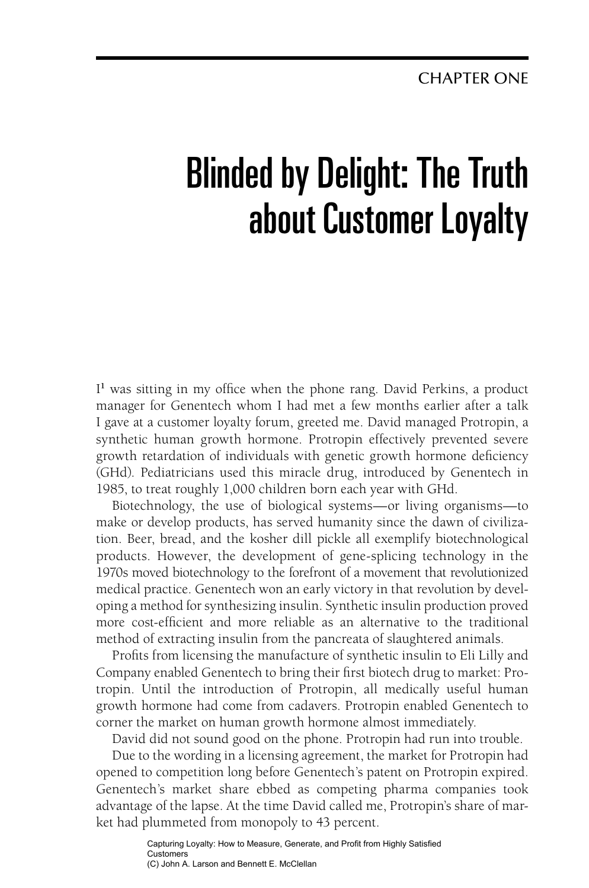# Blinded by Delight: The Truth about Customer Loyalty

I<sup>1</sup> was sitting in my office when the phone rang. David Perkins, a product manager for Genentech whom I had met a few months earlier after a talk I gave at a customer loyalty forum, greeted me. David managed Protropin, a synthetic human growth hormone. Protropin effectively prevented severe growth retardation of individuals with genetic growth hormone deficiency (GHd). Pediatricians used this miracle drug, introduced by Genentech in 1985, to treat roughly 1,000 children born each year with GHd.

Biotechnology, the use of biological systems—or living organisms—to make or develop products, has served humanity since the dawn of civilization. Beer, bread, and the kosher dill pickle all exemplify biotechnological products. However, the development of gene-splicing technology in the 1970s moved biotechnology to the forefront of a movement that revolutionized medical practice. Genentech won an early victory in that revolution by developing a method for synthesizing insulin. Synthetic insulin production proved more cost-efficient and more reliable as an alternative to the traditional method of extracting insulin from the pancreata of slaughtered animals.

Profits from licensing the manufacture of synthetic insulin to Eli Lilly and Company enabled Genentech to bring their first biotech drug to market: Protropin. Until the introduction of Protropin, all medically useful human growth hormone had come from cadavers. Protropin enabled Genentech to corner the market on human growth hormone almost immediately.

David did not sound good on the phone. Protropin had run into trouble.

Due to the wording in a licensing agreement, the market for Protropin had opened to competition long before Genentech's patent on Protropin expired. Genentech's market share ebbed as competing pharma companies took advantage of the lapse. At the time David called me, Protropin's share of market had plummeted from monopoly to 43 percent.

> Capturing Loyalty: How to Measure, Generate, and Profit from Highly Satisfied Customers (C) John A. Larson and Bennett E. McClellan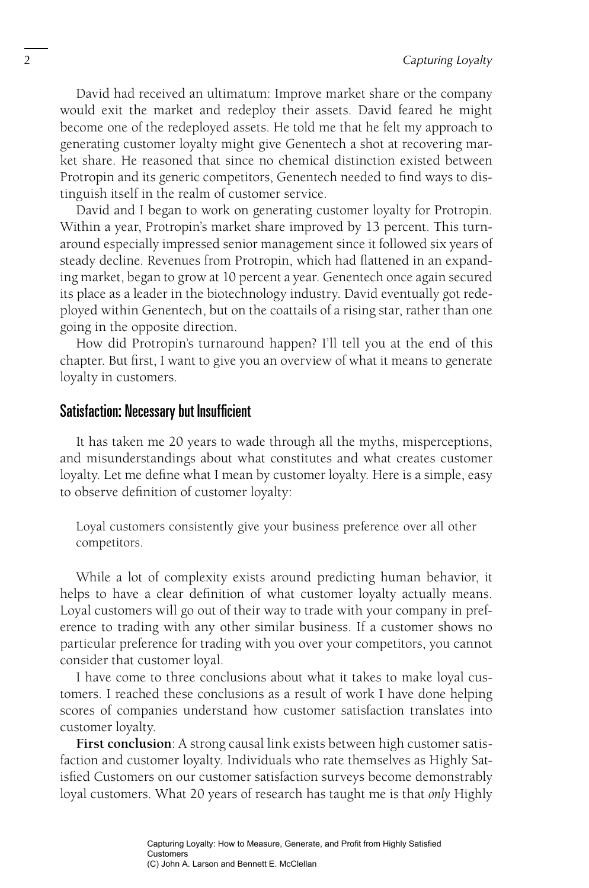David had received an ultimatum: Improve market share or the company would exit the market and redeploy their assets. David feared he might become one of the redeployed assets. He told me that he felt my approach to generating customer loyalty might give Genentech a shot at recovering market share. He reasoned that since no chemical distinction existed between Protropin and its generic competitors, Genentech needed to find ways to distinguish itself in the realm of customer service.

David and I began to work on generating customer loyalty for Protropin. Within a year, Protropin's market share improved by 13 percent. This turnaround especially impressed senior management since it followed six years of steady decline. Revenues from Protropin, which had flattened in an expanding market, began to grow at 10 percent a year. Genentech once again secured its place as a leader in the biotechnology industry. David eventually got redeployed within Genentech, but on the coattails of a rising star, rather than one going in the opposite direction.

How did Protropin's turnaround happen? I'll tell you at the end of this chapter. But first, I want to give you an overview of what it means to generate loyalty in customers.

#### Satisfaction: Necessary but Insufficient

It has taken me 20 years to wade through all the myths, misperceptions, and misunderstandings about what constitutes and what creates customer loyalty. Let me define what I mean by customer loyalty. Here is a simple, easy to observe definition of customer loyalty:

Loyal customers consistently give your business preference over all other competitors.

While a lot of complexity exists around predicting human behavior, it helps to have a clear definition of what customer loyalty actually means. Loyal customers will go out of their way to trade with your company in preference to trading with any other similar business. If a customer shows no particular preference for trading with you over your competitors, you cannot consider that customer loyal.

I have come to three conclusions about what it takes to make loyal customers. I reached these conclusions as a result of work I have done helping scores of companies understand how customer satisfaction translates into customer loyalty.

**First conclusion**: A strong causal link exists between high customer satisfaction and customer loyalty. Individuals who rate themselves as Highly Satisfied Customers on our customer satisfaction surveys become demonstrably loyal customers. What 20 years of research has taught me is that *only* Highly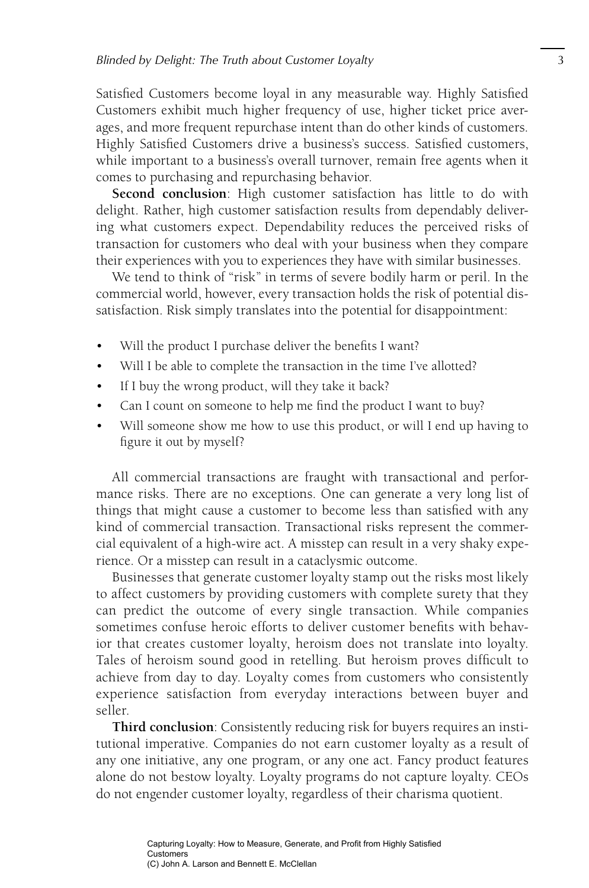Satisfied Customers become loyal in any measurable way. Highly Satisfied Customers exhibit much higher frequency of use, higher ticket price averages, and more frequent repurchase intent than do other kinds of customers. Highly Satisfied Customers drive a business's success. Satisfied customers, while important to a business's overall turnover, remain free agents when it comes to purchasing and repurchasing behavior.

**Second conclusion**: High customer satisfaction has little to do with delight. Rather, high customer satisfaction results from dependably delivering what customers expect. Dependability reduces the perceived risks of transaction for customers who deal with your business when they compare their experiences with you to experiences they have with similar businesses.

We tend to think of "risk" in terms of severe bodily harm or peril. In the commercial world, however, every transaction holds the risk of potential dissatisfaction. Risk simply translates into the potential for disappointment:

- Will the product I purchase deliver the benefits I want?
- Will I be able to complete the transaction in the time I've allotted?
- If I buy the wrong product, will they take it back?
- Can I count on someone to help me find the product I want to buy?
- Will someone show me how to use this product, or will I end up having to figure it out by myself?

All commercial transactions are fraught with transactional and performance risks. There are no exceptions. One can generate a very long list of things that might cause a customer to become less than satisfied with any kind of commercial transaction. Transactional risks represent the commercial equivalent of a high-wire act. A misstep can result in a very shaky experience. Or a misstep can result in a cataclysmic outcome.

Businesses that generate customer loyalty stamp out the risks most likely to affect customers by providing customers with complete surety that they can predict the outcome of every single transaction. While companies sometimes confuse heroic efforts to deliver customer benefits with behavior that creates customer loyalty, heroism does not translate into loyalty. Tales of heroism sound good in retelling. But heroism proves difficult to achieve from day to day. Loyalty comes from customers who consistently experience satisfaction from everyday interactions between buyer and seller.

**Third conclusion**: Consistently reducing risk for buyers requires an institutional imperative. Companies do not earn customer loyalty as a result of any one initiative, any one program, or any one act. Fancy product features alone do not bestow loyalty. Loyalty programs do not capture loyalty. CEOs do not engender customer loyalty, regardless of their charisma quotient.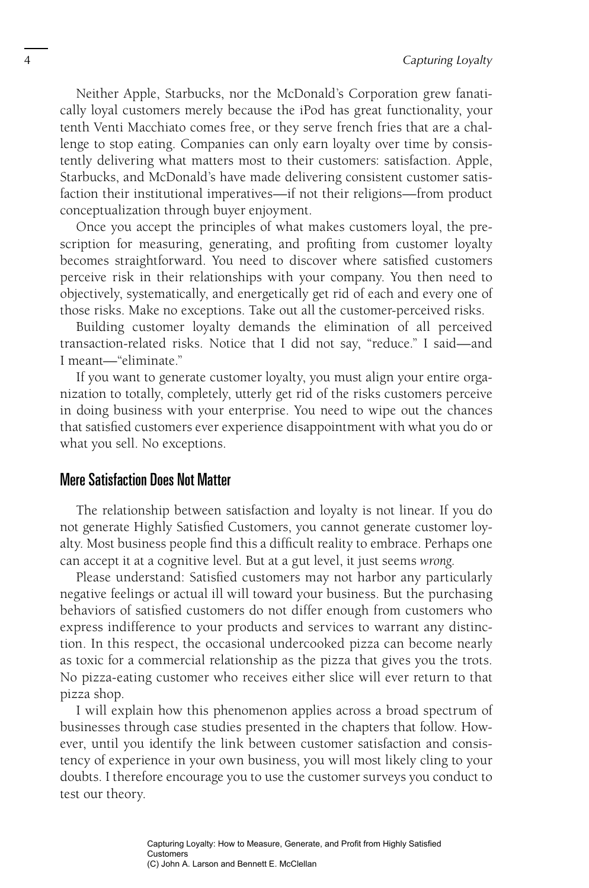Neither Apple, Starbucks, nor the McDonald's Corporation grew fanatically loyal customers merely because the iPod has great functionality, your tenth Venti Macchiato comes free, or they serve french fries that are a challenge to stop eating. Companies can only earn loyalty over time by consistently delivering what matters most to their customers: satisfaction. Apple, Starbucks, and McDonald's have made delivering consistent customer satisfaction their institutional imperatives—if not their religions—from product conceptualization through buyer enjoyment.

Once you accept the principles of what makes customers loyal, the prescription for measuring, generating, and profiting from customer loyalty becomes straightforward. You need to discover where satisfied customers perceive risk in their relationships with your company. You then need to objectively, systematically, and energetically get rid of each and every one of those risks. Make no exceptions. Take out all the customer-perceived risks.

Building customer loyalty demands the elimination of all perceived transaction-related risks. Notice that I did not say, "reduce." I said—and I meant—"eliminate."

If you want to generate customer loyalty, you must align your entire organization to totally, completely, utterly get rid of the risks customers perceive in doing business with your enterprise. You need to wipe out the chances that satisfied customers ever experience disappointment with what you do or what you sell. No exceptions.

#### Mere Satisfaction Does Not Matter

The relationship between satisfaction and loyalty is not linear. If you do not generate Highly Satisfied Customers, you cannot generate customer loyalty. Most business people find this a difficult reality to embrace. Perhaps one can accept it at a cognitive level. But at a gut level, it just seems *wrong* .

Please understand: Satisfied customers may not harbor any particularly negative feelings or actual ill will toward your business. But the purchasing behaviors of satisfied customers do not differ enough from customers who express indifference to your products and services to warrant any distinction. In this respect, the occasional undercooked pizza can become nearly as toxic for a commercial relationship as the pizza that gives you the trots. No pizza-eating customer who receives either slice will ever return to that pizza shop.

I will explain how this phenomenon applies across a broad spectrum of businesses through case studies presented in the chapters that follow. However, until you identify the link between customer satisfaction and consistency of experience in your own business, you will most likely cling to your doubts. I therefore encourage you to use the customer surveys you conduct to test our theory.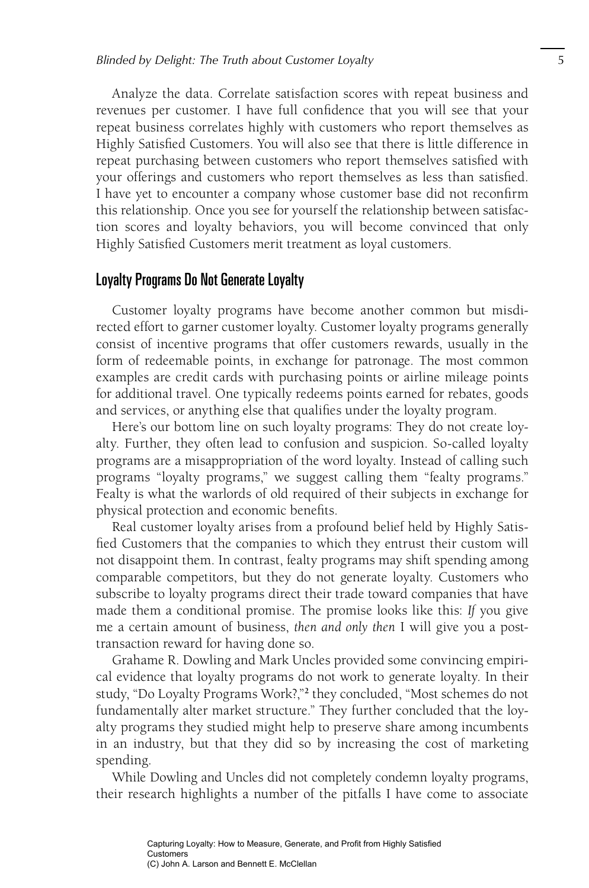Analyze the data. Correlate satisfaction scores with repeat business and revenues per customer. I have full confidence that you will see that your repeat business correlates highly with customers who report themselves as Highly Satisfied Customers. You will also see that there is little difference in repeat purchasing between customers who report themselves satisfied with your offerings and customers who report themselves as less than satisfied. I have yet to encounter a company whose customer base did not reconfirm this relationship. Once you see for yourself the relationship between satisfaction scores and loyalty behaviors, you will become convinced that only Highly Satisfied Customers merit treatment as loyal customers.

### Loyalty Programs Do Not Generate Loyalty

Customer loyalty programs have become another common but misdirected effort to garner customer loyalty. Customer loyalty programs generally consist of incentive programs that offer customers rewards, usually in the form of redeemable points, in exchange for patronage. The most common examples are credit cards with purchasing points or airline mileage points for additional travel. One typically redeems points earned for rebates, goods and services, or anything else that qualifies under the loyalty program.

Here's our bottom line on such loyalty programs: They do not create loyalty. Further, they often lead to confusion and suspicion. So-called loyalty programs are a misappropriation of the word loyalty. Instead of calling such programs "loyalty programs," we suggest calling them "fealty programs." Fealty is what the warlords of old required of their subjects in exchange for physical protection and economic benefits.

Real customer loyalty arises from a profound belief held by Highly Satisfied Customers that the companies to which they entrust their custom will not disappoint them. In contrast, fealty programs may shift spending among comparable competitors, but they do not generate loyalty. Customers who subscribe to loyalty programs direct their trade toward companies that have made them a conditional promise. The promise looks like this: *If* you give me a certain amount of business, *then and only then* I will give you a posttransaction reward for having done so.

Grahame R. Dowling and Mark Uncles provided some convincing empirical evidence that loyalty programs do not work to generate loyalty. In their study, "Do Loyalty Programs Work?,"<sup>2</sup> they concluded, "Most schemes do not fundamentally alter market structure." They further concluded that the loyalty programs they studied might help to preserve share among incumbents in an industry, but that they did so by increasing the cost of marketing spending.

While Dowling and Uncles did not completely condemn loyalty programs, their research highlights a number of the pitfalls I have come to associate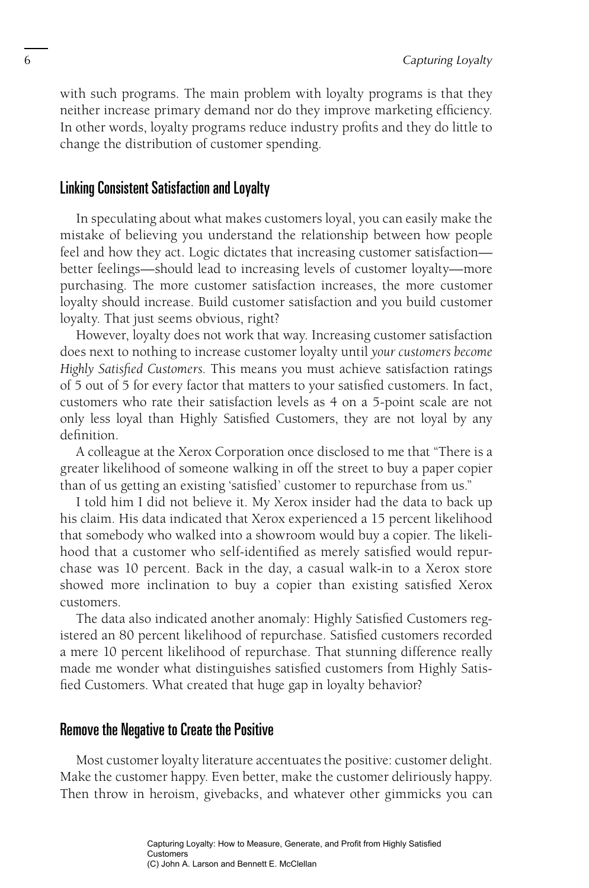with such programs. The main problem with loyalty programs is that they neither increase primary demand nor do they improve marketing efficiency. In other words, loyalty programs reduce industry profits and they do little to change the distribution of customer spending.

### Linking Consistent Satisfaction and Loyalty

In speculating about what makes customers loyal, you can easily make the mistake of believing you understand the relationship between how people feel and how they act. Logic dictates that increasing customer satisfaction better feelings—should lead to increasing levels of customer loyalty—more purchasing. The more customer satisfaction increases, the more customer loyalty should increase. Build customer satisfaction and you build customer loyalty. That just seems obvious, right?

However, loyalty does not work that way. Increasing customer satisfaction does next to nothing to increase customer loyalty until *your customers become*  Highly Satisfied Customers. This means you must achieve satisfaction ratings of 5 out of 5 for every factor that matters to your satisfied customers. In fact, customers who rate their satisfaction levels as 4 on a 5-point scale are not only less loyal than Highly Satisfied Customers, they are not loyal by any definition.

A colleague at the Xerox Corporation once disclosed to me that "There is a greater likelihood of someone walking in off the street to buy a paper copier than of us getting an existing 'satisfied' customer to repurchase from us."

I told him I did not believe it. My Xerox insider had the data to back up his claim. His data indicated that Xerox experienced a 15 percent likelihood that somebody who walked into a showroom would buy a copier. The likelihood that a customer who self-identified as merely satisfied would repurchase was 10 percent. Back in the day, a casual walk-in to a Xerox store showed more inclination to buy a copier than existing satisfied Xerox customers.

The data also indicated another anomaly: Highly Satisfied Customers registered an 80 percent likelihood of repurchase. Satisfied customers recorded a mere 10 percent likelihood of repurchase. That stunning difference really made me wonder what distinguishes satisfied customers from Highly Satisfied Customers. What created that huge gap in loyalty behavior?

#### Remove the Negative to Create the Positive

Most customer loyalty literature accentuates the positive: customer delight. Make the customer happy. Even better, make the customer deliriously happy. Then throw in heroism, givebacks, and whatever other gimmicks you can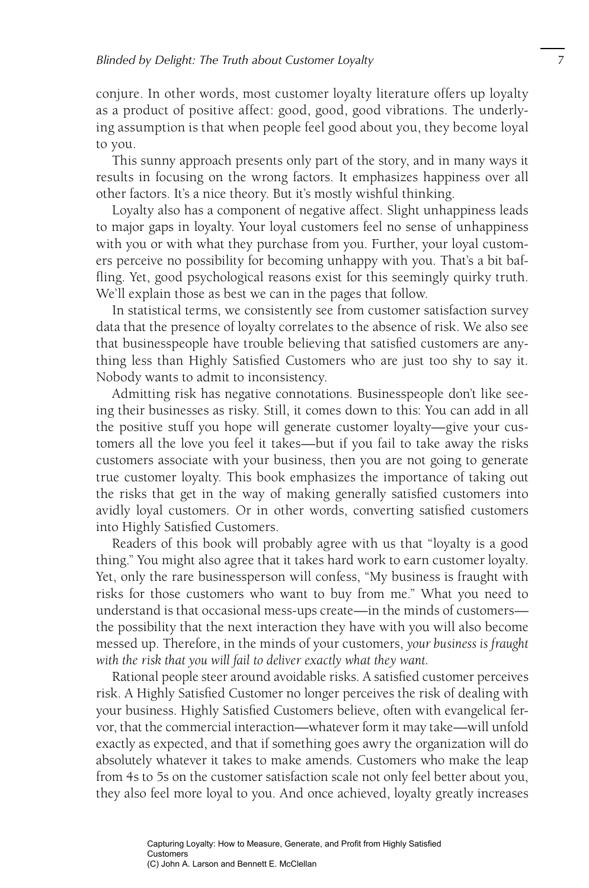conjure. In other words, most customer loyalty literature offers up loyalty as a product of positive affect: good, good, good vibrations. The underlying assumption is that when people feel good about you, they become loyal to you.

This sunny approach presents only part of the story, and in many ways it results in focusing on the wrong factors. It emphasizes happiness over all other factors. It's a nice theory. But it's mostly wishful thinking.

Loyalty also has a component of negative affect. Slight unhappiness leads to major gaps in loyalty. Your loyal customers feel no sense of unhappiness with you or with what they purchase from you. Further, your loyal customers perceive no possibility for becoming unhappy with you. That's a bit baffling. Yet, good psychological reasons exist for this seemingly quirky truth. We'll explain those as best we can in the pages that follow.

In statistical terms, we consistently see from customer satisfaction survey data that the presence of loyalty correlates to the absence of risk. We also see that businesspeople have trouble believing that satisfied customers are anything less than Highly Satisfied Customers who are just too shy to say it. Nobody wants to admit to inconsistency.

Admitting risk has negative connotations. Businesspeople don't like seeing their businesses as risky. Still, it comes down to this: You can add in all the positive stuff you hope will generate customer loyalty—give your customers all the love you feel it takes—but if you fail to take away the risks customers associate with your business, then you are not going to generate true customer loyalty. This book emphasizes the importance of taking out the risks that get in the way of making generally satisfied customers into avidly loyal customers. Or in other words, converting satisfied customers into Highly Satisfied Customers.

Readers of this book will probably agree with us that "loyalty is a good thing." You might also agree that it takes hard work to earn customer loyalty. Yet, only the rare businessperson will confess, "My business is fraught with risks for those customers who want to buy from me." What you need to understand is that occasional mess-ups create—in the minds of customers the possibility that the next interaction they have with you will also become messed up. Therefore, in the minds of your customers, *your business is fraught with the risk that you will fail to deliver exactly what they want.*

Rational people steer around avoidable risks. A satisfied customer perceives risk. A Highly Satisfied Customer no longer perceives the risk of dealing with your business. Highly Satisfied Customers believe, often with evangelical fervor, that the commercial interaction—whatever form it may take—will unfold exactly as expected, and that if something goes awry the organization will do absolutely whatever it takes to make amends. Customers who make the leap from 4s to 5s on the customer satisfaction scale not only feel better about you, they also feel more loyal to you. And once achieved, loyalty greatly increases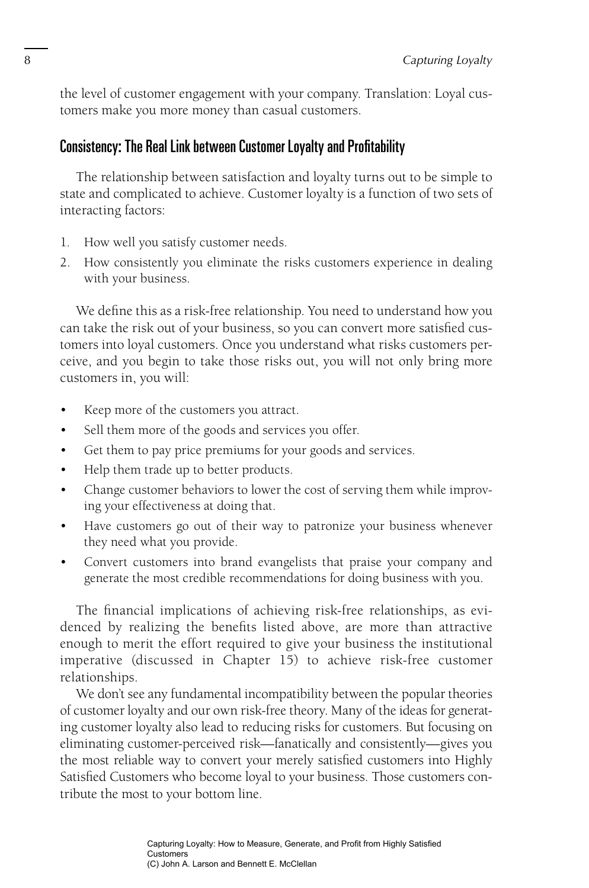the level of customer engagement with your company. Translation: Loyal customers make you more money than casual customers.

## Consistency: The Real Link between Customer Loyalty and Profitability

The relationship between satisfaction and loyalty turns out to be simple to state and complicated to achieve. Customer loyalty is a function of two sets of interacting factors:

- 1. How well you satisfy customer needs.
- 2. How consistently you eliminate the risks customers experience in dealing with your business.

We define this as a risk-free relationship. You need to understand how you can take the risk out of your business, so you can convert more satisfied customers into loyal customers. Once you understand what risks customers perceive, and you begin to take those risks out, you will not only bring more customers in, you will:

- Keep more of the customers you attract.
- Sell them more of the goods and services you offer.
- Get them to pay price premiums for your goods and services.
- Help them trade up to better products.
- Change customer behaviors to lower the cost of serving them while improving your effectiveness at doing that.
- Have customers go out of their way to patronize your business whenever they need what you provide.
- Convert customers into brand evangelists that praise your company and generate the most credible recommendations for doing business with you.

The financial implications of achieving risk-free relationships, as evidenced by realizing the benefits listed above, are more than attractive enough to merit the effort required to give your business the institutional imperative (discussed in Chapter 15) to achieve risk-free customer relationships.

We don't see any fundamental incompatibility between the popular theories of customer loyalty and our own risk-free theory. Many of the ideas for generating customer loyalty also lead to reducing risks for customers. But focusing on eliminating customer-perceived risk—fanatically and consistently—gives you the most reliable way to convert your merely satisfied customers into Highly Satisfied Customers who become loyal to your business. Those customers contribute the most to your bottom line.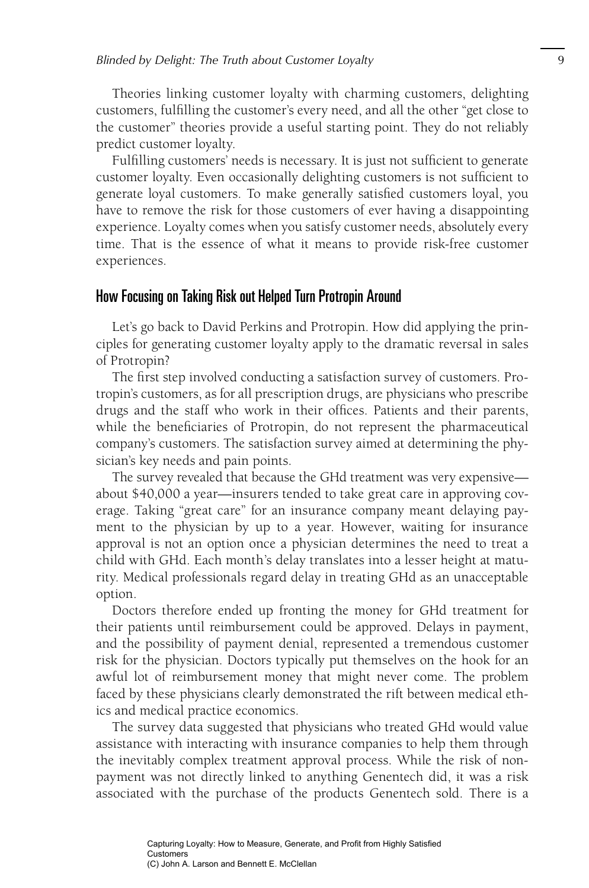Theories linking customer loyalty with charming customers, delighting customers, fulfilling the customer's every need, and all the other "get close to the customer" theories provide a useful starting point. They do not reliably predict customer loyalty.

Fulfilling customers' needs is necessary. It is just not sufficient to generate customer loyalty. Even occasionally delighting customers is not sufficient to generate loyal customers. To make generally satisfied customers loyal, you have to remove the risk for those customers of ever having a disappointing experience. Loyalty comes when you satisfy customer needs, absolutely every time. That is the essence of what it means to provide risk-free customer experiences.

#### How Focusing on Taking Risk out Helped Turn Protropin Around

Let's go back to David Perkins and Protropin. How did applying the principles for generating customer loyalty apply to the dramatic reversal in sales of Protropin?

The first step involved conducting a satisfaction survey of customers. Protropin's customers, as for all prescription drugs, are physicians who prescribe drugs and the staff who work in their offices. Patients and their parents, while the beneficiaries of Protropin, do not represent the pharmaceutical company's customers. The satisfaction survey aimed at determining the physician's key needs and pain points.

The survey revealed that because the GHd treatment was very expensive about \$40,000 a year—insurers tended to take great care in approving coverage. Taking "great care" for an insurance company meant delaying payment to the physician by up to a year. However, waiting for insurance approval is not an option once a physician determines the need to treat a child with GHd. Each month's delay translates into a lesser height at maturity. Medical professionals regard delay in treating GHd as an unacceptable option.

Doctors therefore ended up fronting the money for GHd treatment for their patients until reimbursement could be approved. Delays in payment, and the possibility of payment denial, represented a tremendous customer risk for the physician. Doctors typically put themselves on the hook for an awful lot of reimbursement money that might never come. The problem faced by these physicians clearly demonstrated the rift between medical ethics and medical practice economics.

The survey data suggested that physicians who treated GHd would value assistance with interacting with insurance companies to help them through the inevitably complex treatment approval process. While the risk of nonpayment was not directly linked to anything Genentech did, it was a risk associated with the purchase of the products Genentech sold. There is a